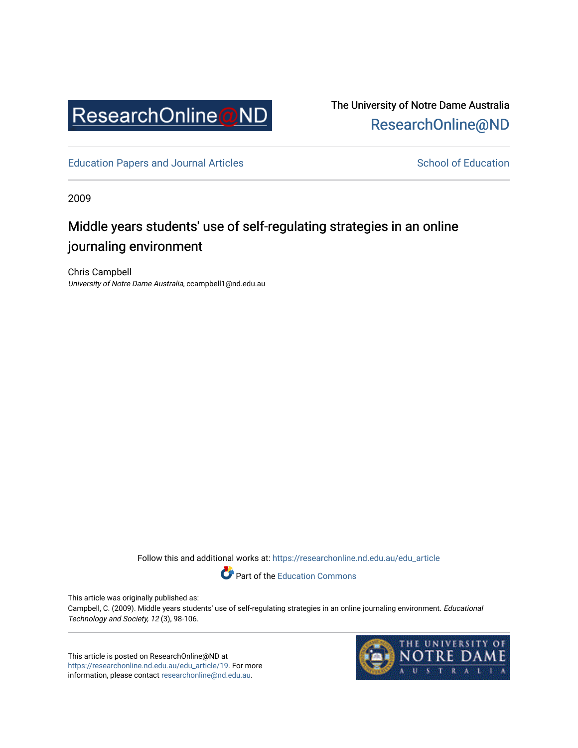

The University of Notre Dame Australia [ResearchOnline@ND](https://researchonline.nd.edu.au/) 

[Education Papers and Journal Articles](https://researchonline.nd.edu.au/edu_article) [School of Education](https://researchonline.nd.edu.au/edu) School of Education

2009

# Middle years students' use of self-regulating strategies in an online journaling environment

Chris Campbell University of Notre Dame Australia, ccampbell1@nd.edu.au

Follow this and additional works at: [https://researchonline.nd.edu.au/edu\\_article](https://researchonline.nd.edu.au/edu_article?utm_source=researchonline.nd.edu.au%2Fedu_article%2F19&utm_medium=PDF&utm_campaign=PDFCoverPages)

Part of the [Education Commons](http://network.bepress.com/hgg/discipline/784?utm_source=researchonline.nd.edu.au%2Fedu_article%2F19&utm_medium=PDF&utm_campaign=PDFCoverPages) 

This article was originally published as:

Campbell, C. (2009). Middle years students' use of self-regulating strategies in an online journaling environment. Educational Technology and Society, 12 (3), 98-106.

This article is posted on ResearchOnline@ND at [https://researchonline.nd.edu.au/edu\\_article/19.](https://researchonline.nd.edu.au/edu_article/19) For more information, please contact [researchonline@nd.edu.au.](mailto:researchonline@nd.edu.au)

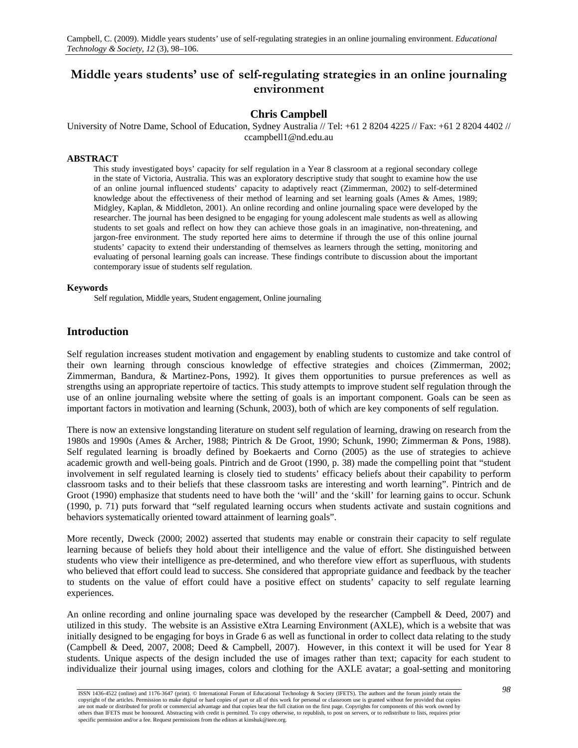## **Middle years students' use of self-regulating strategies in an online journaling environment**

## **Chris Campbell**

University of Notre Dame, School of Education, Sydney Australia // Tel: +61 2 8204 4225 // Fax: +61 2 8204 4402 // ccampbell1@nd.edu.au

#### **ABSTRACT**

This study investigated boys' capacity for self regulation in a Year 8 classroom at a regional secondary college in the state of Victoria, Australia. This was an exploratory descriptive study that sought to examine how the use of an online journal influenced students' capacity to adaptively react (Zimmerman, 2002) to self-determined knowledge about the effectiveness of their method of learning and set learning goals (Ames & Ames, 1989; Midgley, Kaplan, & Middleton, 2001). An online recording and online journaling space were developed by the researcher. The journal has been designed to be engaging for young adolescent male students as well as allowing students to set goals and reflect on how they can achieve those goals in an imaginative, non-threatening, and jargon-free environment. The study reported here aims to determine if through the use of this online journal students' capacity to extend their understanding of themselves as learners through the setting, monitoring and evaluating of personal learning goals can increase. These findings contribute to discussion about the important contemporary issue of students self regulation.

#### **Keywords**

Self regulation, Middle years, Student engagement, Online journaling

## **Introduction**

Self regulation increases student motivation and engagement by enabling students to customize and take control of their own learning through conscious knowledge of effective strategies and choices (Zimmerman, 2002; Zimmerman, Bandura, & Martinez-Pons, 1992). It gives them opportunities to pursue preferences as well as strengths using an appropriate repertoire of tactics. This study attempts to improve student self regulation through the use of an online journaling website where the setting of goals is an important component. Goals can be seen as important factors in motivation and learning (Schunk, 2003), both of which are key components of self regulation.

There is now an extensive longstanding literature on student self regulation of learning, drawing on research from the 1980s and 1990s (Ames & Archer, 1988; Pintrich & De Groot, 1990; Schunk, 1990; Zimmerman & Pons, 1988). Self regulated learning is broadly defined by Boekaerts and Corno (2005) as the use of strategies to achieve academic growth and well-being goals. Pintrich and de Groot (1990, p. 38) made the compelling point that "student involvement in self regulated learning is closely tied to students' efficacy beliefs about their capability to perform classroom tasks and to their beliefs that these classroom tasks are interesting and worth learning". Pintrich and de Groot (1990) emphasize that students need to have both the 'will' and the 'skill' for learning gains to occur. Schunk (1990, p. 71) puts forward that "self regulated learning occurs when students activate and sustain cognitions and behaviors systematically oriented toward attainment of learning goals".

More recently, Dweck (2000; 2002) asserted that students may enable or constrain their capacity to self regulate learning because of beliefs they hold about their intelligence and the value of effort. She distinguished between students who view their intelligence as pre-determined, and who therefore view effort as superfluous, with students who believed that effort could lead to success. She considered that appropriate guidance and feedback by the teacher to students on the value of effort could have a positive effect on students' capacity to self regulate learning experiences.

An online recording and online journaling space was developed by the researcher (Campbell & Deed, 2007) and utilized in this study. The website is an Assistive eXtra Learning Environment (AXLE), which is a website that was initially designed to be engaging for boys in Grade 6 as well as functional in order to collect data relating to the study (Campbell & Deed, 2007, 2008; Deed & Campbell, 2007). However, in this context it will be used for Year 8 students. Unique aspects of the design included the use of images rather than text; capacity for each student to individualize their journal using images, colors and clothing for the AXLE avatar; a goal-setting and monitoring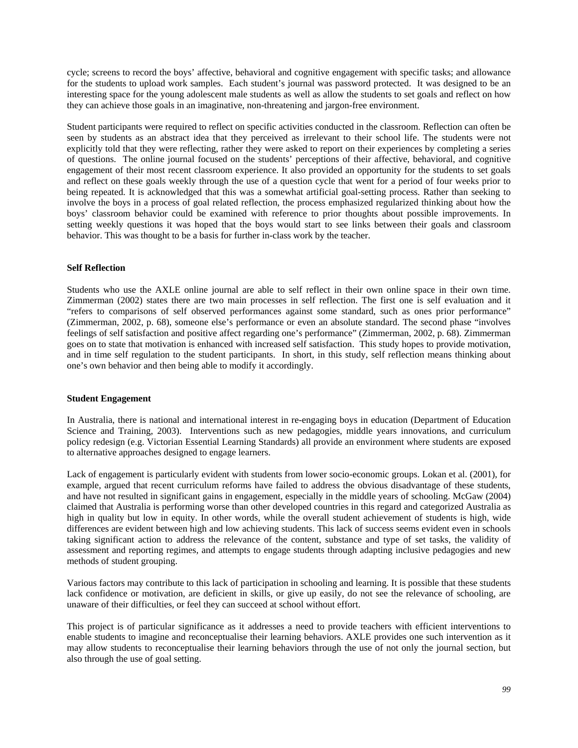cycle; screens to record the boys' affective, behavioral and cognitive engagement with specific tasks; and allowance for the students to upload work samples. Each student's journal was password protected. It was designed to be an interesting space for the young adolescent male students as well as allow the students to set goals and reflect on how they can achieve those goals in an imaginative, non-threatening and jargon-free environment.

Student participants were required to reflect on specific activities conducted in the classroom. Reflection can often be seen by students as an abstract idea that they perceived as irrelevant to their school life. The students were not explicitly told that they were reflecting, rather they were asked to report on their experiences by completing a series of questions. The online journal focused on the students' perceptions of their affective, behavioral, and cognitive engagement of their most recent classroom experience. It also provided an opportunity for the students to set goals and reflect on these goals weekly through the use of a question cycle that went for a period of four weeks prior to being repeated. It is acknowledged that this was a somewhat artificial goal-setting process. Rather than seeking to involve the boys in a process of goal related reflection, the process emphasized regularized thinking about how the boys' classroom behavior could be examined with reference to prior thoughts about possible improvements. In setting weekly questions it was hoped that the boys would start to see links between their goals and classroom behavior. This was thought to be a basis for further in-class work by the teacher.

## **Self Reflection**

Students who use the AXLE online journal are able to self reflect in their own online space in their own time. Zimmerman (2002) states there are two main processes in self reflection. The first one is self evaluation and it "refers to comparisons of self observed performances against some standard, such as ones prior performance" (Zimmerman, 2002, p. 68), someone else's performance or even an absolute standard. The second phase "involves feelings of self satisfaction and positive affect regarding one's performance" (Zimmerman, 2002, p. 68). Zimmerman goes on to state that motivation is enhanced with increased self satisfaction. This study hopes to provide motivation, and in time self regulation to the student participants. In short, in this study, self reflection means thinking about one's own behavior and then being able to modify it accordingly.

#### **Student Engagement**

In Australia, there is national and international interest in re-engaging boys in education (Department of Education Science and Training, 2003). Interventions such as new pedagogies, middle years innovations, and curriculum policy redesign (e.g. Victorian Essential Learning Standards) all provide an environment where students are exposed to alternative approaches designed to engage learners.

Lack of engagement is particularly evident with students from lower socio-economic groups. Lokan et al. (2001), for example, argued that recent curriculum reforms have failed to address the obvious disadvantage of these students, and have not resulted in significant gains in engagement, especially in the middle years of schooling. McGaw (2004) claimed that Australia is performing worse than other developed countries in this regard and categorized Australia as high in quality but low in equity. In other words, while the overall student achievement of students is high, wide differences are evident between high and low achieving students. This lack of success seems evident even in schools taking significant action to address the relevance of the content, substance and type of set tasks, the validity of assessment and reporting regimes, and attempts to engage students through adapting inclusive pedagogies and new methods of student grouping.

Various factors may contribute to this lack of participation in schooling and learning. It is possible that these students lack confidence or motivation, are deficient in skills, or give up easily, do not see the relevance of schooling, are unaware of their difficulties, or feel they can succeed at school without effort.

This project is of particular significance as it addresses a need to provide teachers with efficient interventions to enable students to imagine and reconceptualise their learning behaviors. AXLE provides one such intervention as it may allow students to reconceptualise their learning behaviors through the use of not only the journal section, but also through the use of goal setting.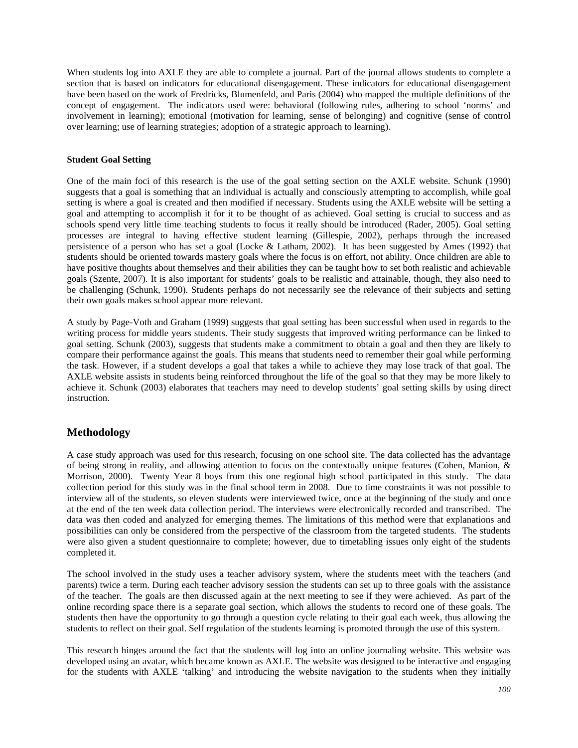When students log into AXLE they are able to complete a journal. Part of the journal allows students to complete a section that is based on indicators for educational disengagement. These indicators for educational disengagement have been based on the work of Fredricks, Blumenfeld, and Paris (2004) who mapped the multiple definitions of the concept of engagement. The indicators used were: behavioral (following rules, adhering to school 'norms' and involvement in learning); emotional (motivation for learning, sense of belonging) and cognitive (sense of control over learning; use of learning strategies; adoption of a strategic approach to learning).

#### **Student Goal Setting**

One of the main foci of this research is the use of the goal setting section on the AXLE website. Schunk (1990) suggests that a goal is something that an individual is actually and consciously attempting to accomplish, while goal setting is where a goal is created and then modified if necessary. Students using the AXLE website will be setting a goal and attempting to accomplish it for it to be thought of as achieved. Goal setting is crucial to success and as schools spend very little time teaching students to focus it really should be introduced (Rader, 2005). Goal setting processes are integral to having effective student learning (Gillespie, 2002), perhaps through the increased persistence of a person who has set a goal (Locke & Latham, 2002). It has been suggested by Ames (1992) that students should be oriented towards mastery goals where the focus is on effort, not ability. Once children are able to have positive thoughts about themselves and their abilities they can be taught how to set both realistic and achievable goals (Szente, 2007). It is also important for students' goals to be realistic and attainable, though, they also need to be challenging (Schunk, 1990). Students perhaps do not necessarily see the relevance of their subjects and setting their own goals makes school appear more relevant.

A study by Page-Voth and Graham (1999) suggests that goal setting has been successful when used in regards to the writing process for middle years students. Their study suggests that improved writing performance can be linked to goal setting. Schunk (2003), suggests that students make a commitment to obtain a goal and then they are likely to compare their performance against the goals. This means that students need to remember their goal while performing the task. However, if a student develops a goal that takes a while to achieve they may lose track of that goal. The AXLE website assists in students being reinforced throughout the life of the goal so that they may be more likely to achieve it. Schunk (2003) elaborates that teachers may need to develop students' goal setting skills by using direct instruction.

## **Methodology**

A case study approach was used for this research, focusing on one school site. The data collected has the advantage of being strong in reality, and allowing attention to focus on the contextually unique features (Cohen, Manion, & Morrison, 2000). Twenty Year 8 boys from this one regional high school participated in this study. The data collection period for this study was in the final school term in 2008. Due to time constraints it was not possible to interview all of the students, so eleven students were interviewed twice, once at the beginning of the study and once at the end of the ten week data collection period. The interviews were electronically recorded and transcribed. The data was then coded and analyzed for emerging themes. The limitations of this method were that explanations and possibilities can only be considered from the perspective of the classroom from the targeted students. The students were also given a student questionnaire to complete; however, due to timetabling issues only eight of the students completed it.

The school involved in the study uses a teacher advisory system, where the students meet with the teachers (and parents) twice a term. During each teacher advisory session the students can set up to three goals with the assistance of the teacher. The goals are then discussed again at the next meeting to see if they were achieved. As part of the online recording space there is a separate goal section, which allows the students to record one of these goals. The students then have the opportunity to go through a question cycle relating to their goal each week, thus allowing the students to reflect on their goal. Self regulation of the students learning is promoted through the use of this system.

This research hinges around the fact that the students will log into an online journaling website. This website was developed using an avatar, which became known as AXLE. The website was designed to be interactive and engaging for the students with AXLE 'talking' and introducing the website navigation to the students when they initially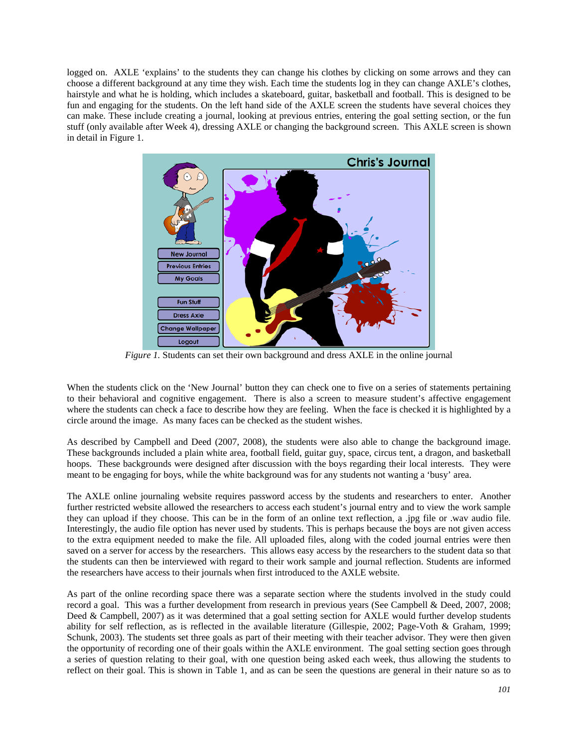logged on. AXLE 'explains' to the students they can change his clothes by clicking on some arrows and they can choose a different background at any time they wish. Each time the students log in they can change AXLE's clothes, hairstyle and what he is holding, which includes a skateboard, guitar, basketball and football. This is designed to be fun and engaging for the students. On the left hand side of the AXLE screen the students have several choices they can make. These include creating a journal, looking at previous entries, entering the goal setting section, or the fun stuff (only available after Week 4), dressing AXLE or changing the background screen. This AXLE screen is shown in detail in Figure 1.



*Figure 1.* Students can set their own background and dress AXLE in the online journal

When the students click on the 'New Journal' button they can check one to five on a series of statements pertaining to their behavioral and cognitive engagement. There is also a screen to measure student's affective engagement where the students can check a face to describe how they are feeling. When the face is checked it is highlighted by a circle around the image. As many faces can be checked as the student wishes.

As described by Campbell and Deed (2007, 2008), the students were also able to change the background image. These backgrounds included a plain white area, football field, guitar guy, space, circus tent, a dragon, and basketball hoops. These backgrounds were designed after discussion with the boys regarding their local interests. They were meant to be engaging for boys, while the white background was for any students not wanting a 'busy' area.

The AXLE online journaling website requires password access by the students and researchers to enter. Another further restricted website allowed the researchers to access each student's journal entry and to view the work sample they can upload if they choose. This can be in the form of an online text reflection, a .jpg file or .wav audio file. Interestingly, the audio file option has never used by students. This is perhaps because the boys are not given access to the extra equipment needed to make the file. All uploaded files, along with the coded journal entries were then saved on a server for access by the researchers. This allows easy access by the researchers to the student data so that the students can then be interviewed with regard to their work sample and journal reflection. Students are informed the researchers have access to their journals when first introduced to the AXLE website.

As part of the online recording space there was a separate section where the students involved in the study could record a goal. This was a further development from research in previous years (See Campbell & Deed, 2007, 2008; Deed & Campbell, 2007) as it was determined that a goal setting section for AXLE would further develop students ability for self reflection, as is reflected in the available literature (Gillespie, 2002; Page-Voth & Graham, 1999; Schunk, 2003). The students set three goals as part of their meeting with their teacher advisor. They were then given the opportunity of recording one of their goals within the AXLE environment. The goal setting section goes through a series of question relating to their goal, with one question being asked each week, thus allowing the students to reflect on their goal. This is shown in Table 1, and as can be seen the questions are general in their nature so as to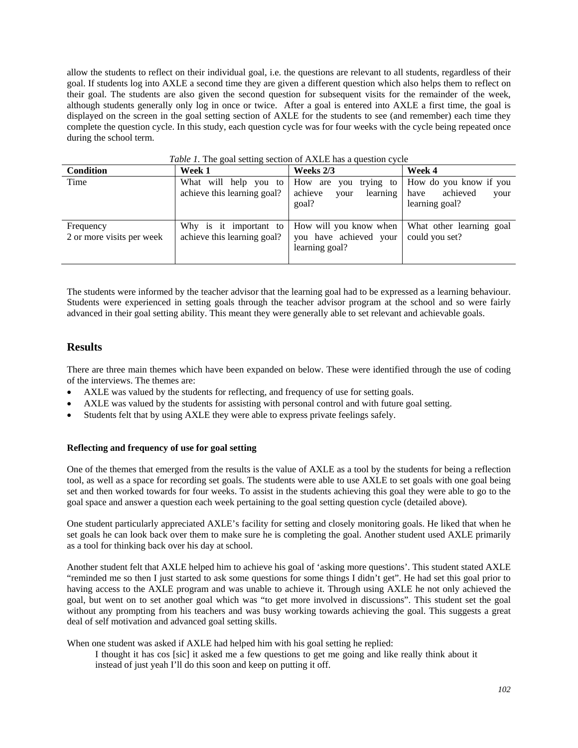allow the students to reflect on their individual goal, i.e. the questions are relevant to all students, regardless of their goal. If students log into AXLE a second time they are given a different question which also helps them to reflect on their goal. The students are also given the second question for subsequent visits for the remainder of the week, although students generally only log in once or twice. After a goal is entered into AXLE a first time, the goal is displayed on the screen in the goal setting section of AXLE for the students to see (and remember) each time they complete the question cycle. In this study, each question cycle was for four weeks with the cycle being repeated once during the school term.

| $10000$ $1100000$ $10000$ $10000$ $10000$ $10000$ $10000$ $1000$ |                                                       |                                                                                     |                                                                      |
|------------------------------------------------------------------|-------------------------------------------------------|-------------------------------------------------------------------------------------|----------------------------------------------------------------------|
| Condition                                                        | Week 1                                                | Weeks 2/3                                                                           | Week 4                                                               |
| Time                                                             | achieve this learning goal?                           | What will help you to How are you trying to<br>achieve<br>learning<br>your<br>goal? | How do you know if you<br>achieved<br>have<br>your<br>learning goal? |
| Frequency<br>2 or more visits per week                           | Why is it important to<br>achieve this learning goal? | How will you know when<br>you have achieved your<br>learning goal?                  | What other learning goal<br>could you set?                           |

*Table 1.* The goal setting section of AXLE has a question cycle

The students were informed by the teacher advisor that the learning goal had to be expressed as a learning behaviour. Students were experienced in setting goals through the teacher advisor program at the school and so were fairly advanced in their goal setting ability. This meant they were generally able to set relevant and achievable goals.

## **Results**

There are three main themes which have been expanded on below. These were identified through the use of coding of the interviews. The themes are:

- AXLE was valued by the students for reflecting, and frequency of use for setting goals.
- AXLE was valued by the students for assisting with personal control and with future goal setting.
- Students felt that by using AXLE they were able to express private feelings safely.

#### **Reflecting and frequency of use for goal setting**

One of the themes that emerged from the results is the value of AXLE as a tool by the students for being a reflection tool, as well as a space for recording set goals. The students were able to use AXLE to set goals with one goal being set and then worked towards for four weeks. To assist in the students achieving this goal they were able to go to the goal space and answer a question each week pertaining to the goal setting question cycle (detailed above).

One student particularly appreciated AXLE's facility for setting and closely monitoring goals. He liked that when he set goals he can look back over them to make sure he is completing the goal. Another student used AXLE primarily as a tool for thinking back over his day at school.

Another student felt that AXLE helped him to achieve his goal of 'asking more questions'. This student stated AXLE "reminded me so then I just started to ask some questions for some things I didn't get". He had set this goal prior to having access to the AXLE program and was unable to achieve it. Through using AXLE he not only achieved the goal, but went on to set another goal which was "to get more involved in discussions". This student set the goal without any prompting from his teachers and was busy working towards achieving the goal. This suggests a great deal of self motivation and advanced goal setting skills.

When one student was asked if AXLE had helped him with his goal setting he replied:

I thought it has cos [sic] it asked me a few questions to get me going and like really think about it instead of just yeah I'll do this soon and keep on putting it off.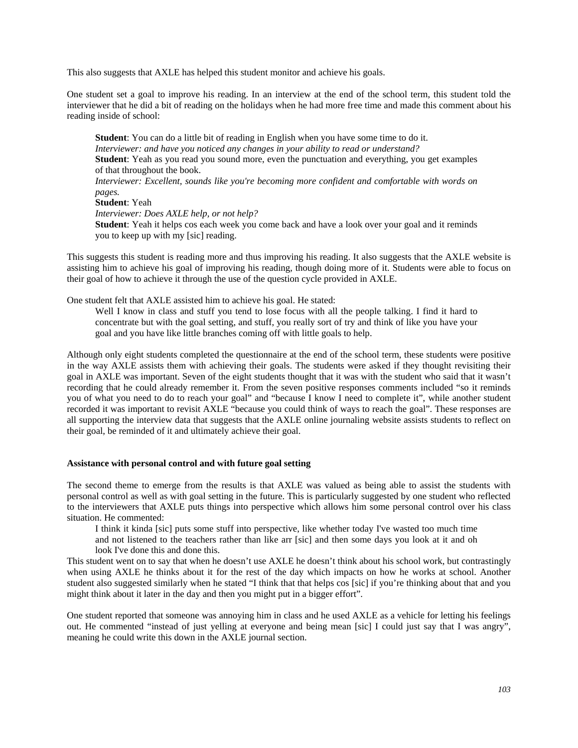This also suggests that AXLE has helped this student monitor and achieve his goals.

One student set a goal to improve his reading. In an interview at the end of the school term, this student told the interviewer that he did a bit of reading on the holidays when he had more free time and made this comment about his reading inside of school:

**Student**: You can do a little bit of reading in English when you have some time to do it. *Interviewer: and have you noticed any changes in your ability to read or understand?*  **Student**: Yeah as you read you sound more, even the punctuation and everything, you get examples of that throughout the book. *Interviewer: Excellent, sounds like you're becoming more confident and comfortable with words on* 

*pages.*  **Student**: Yeah

*Interviewer: Does AXLE help, or not help?* 

**Student**: Yeah it helps cos each week you come back and have a look over your goal and it reminds you to keep up with my [sic] reading.

This suggests this student is reading more and thus improving his reading. It also suggests that the AXLE website is assisting him to achieve his goal of improving his reading, though doing more of it. Students were able to focus on their goal of how to achieve it through the use of the question cycle provided in AXLE.

One student felt that AXLE assisted him to achieve his goal. He stated:

Well I know in class and stuff you tend to lose focus with all the people talking. I find it hard to concentrate but with the goal setting, and stuff, you really sort of try and think of like you have your goal and you have like little branches coming off with little goals to help.

Although only eight students completed the questionnaire at the end of the school term, these students were positive in the way AXLE assists them with achieving their goals. The students were asked if they thought revisiting their goal in AXLE was important. Seven of the eight students thought that it was with the student who said that it wasn't recording that he could already remember it. From the seven positive responses comments included "so it reminds you of what you need to do to reach your goal" and "because I know I need to complete it", while another student recorded it was important to revisit AXLE "because you could think of ways to reach the goal". These responses are all supporting the interview data that suggests that the AXLE online journaling website assists students to reflect on their goal, be reminded of it and ultimately achieve their goal.

#### **Assistance with personal control and with future goal setting**

The second theme to emerge from the results is that AXLE was valued as being able to assist the students with personal control as well as with goal setting in the future. This is particularly suggested by one student who reflected to the interviewers that AXLE puts things into perspective which allows him some personal control over his class situation. He commented:

I think it kinda [sic] puts some stuff into perspective, like whether today I've wasted too much time and not listened to the teachers rather than like arr [sic] and then some days you look at it and oh look I've done this and done this.

This student went on to say that when he doesn't use AXLE he doesn't think about his school work, but contrastingly when using AXLE he thinks about it for the rest of the day which impacts on how he works at school. Another student also suggested similarly when he stated "I think that that helps cos [sic] if you're thinking about that and you might think about it later in the day and then you might put in a bigger effort".

One student reported that someone was annoying him in class and he used AXLE as a vehicle for letting his feelings out. He commented "instead of just yelling at everyone and being mean [sic] I could just say that I was angry", meaning he could write this down in the AXLE journal section.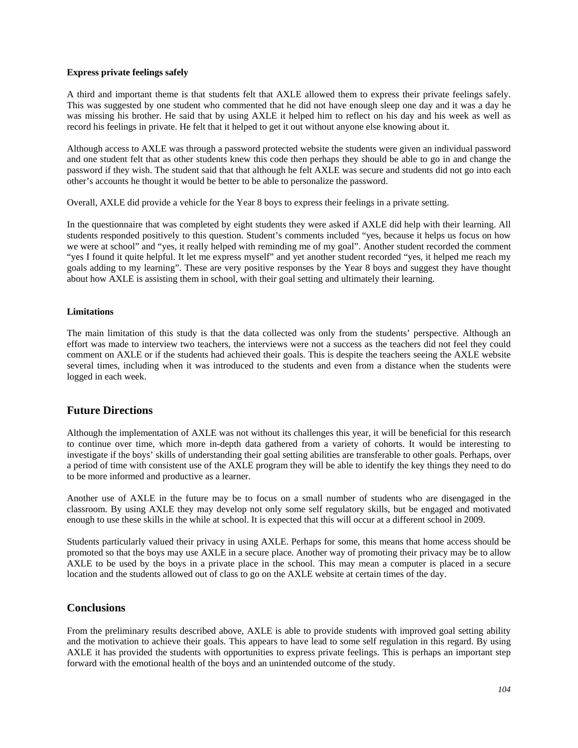#### **Express private feelings safely**

A third and important theme is that students felt that AXLE allowed them to express their private feelings safely. This was suggested by one student who commented that he did not have enough sleep one day and it was a day he was missing his brother. He said that by using AXLE it helped him to reflect on his day and his week as well as record his feelings in private. He felt that it helped to get it out without anyone else knowing about it.

Although access to AXLE was through a password protected website the students were given an individual password and one student felt that as other students knew this code then perhaps they should be able to go in and change the password if they wish. The student said that that although he felt AXLE was secure and students did not go into each other's accounts he thought it would be better to be able to personalize the password.

Overall, AXLE did provide a vehicle for the Year 8 boys to express their feelings in a private setting.

In the questionnaire that was completed by eight students they were asked if AXLE did help with their learning. All students responded positively to this question. Student's comments included "yes, because it helps us focus on how we were at school" and "yes, it really helped with reminding me of my goal". Another student recorded the comment "yes I found it quite helpful. It let me express myself" and yet another student recorded "yes, it helped me reach my goals adding to my learning". These are very positive responses by the Year 8 boys and suggest they have thought about how AXLE is assisting them in school, with their goal setting and ultimately their learning.

## **Limitations**

The main limitation of this study is that the data collected was only from the students' perspective. Although an effort was made to interview two teachers, the interviews were not a success as the teachers did not feel they could comment on AXLE or if the students had achieved their goals. This is despite the teachers seeing the AXLE website several times, including when it was introduced to the students and even from a distance when the students were logged in each week.

## **Future Directions**

Although the implementation of AXLE was not without its challenges this year, it will be beneficial for this research to continue over time, which more in-depth data gathered from a variety of cohorts. It would be interesting to investigate if the boys' skills of understanding their goal setting abilities are transferable to other goals. Perhaps, over a period of time with consistent use of the AXLE program they will be able to identify the key things they need to do to be more informed and productive as a learner.

Another use of AXLE in the future may be to focus on a small number of students who are disengaged in the classroom. By using AXLE they may develop not only some self regulatory skills, but be engaged and motivated enough to use these skills in the while at school. It is expected that this will occur at a different school in 2009.

Students particularly valued their privacy in using AXLE. Perhaps for some, this means that home access should be promoted so that the boys may use AXLE in a secure place. Another way of promoting their privacy may be to allow AXLE to be used by the boys in a private place in the school. This may mean a computer is placed in a secure location and the students allowed out of class to go on the AXLE website at certain times of the day.

## **Conclusions**

From the preliminary results described above, AXLE is able to provide students with improved goal setting ability and the motivation to achieve their goals. This appears to have lead to some self regulation in this regard. By using AXLE it has provided the students with opportunities to express private feelings. This is perhaps an important step forward with the emotional health of the boys and an unintended outcome of the study.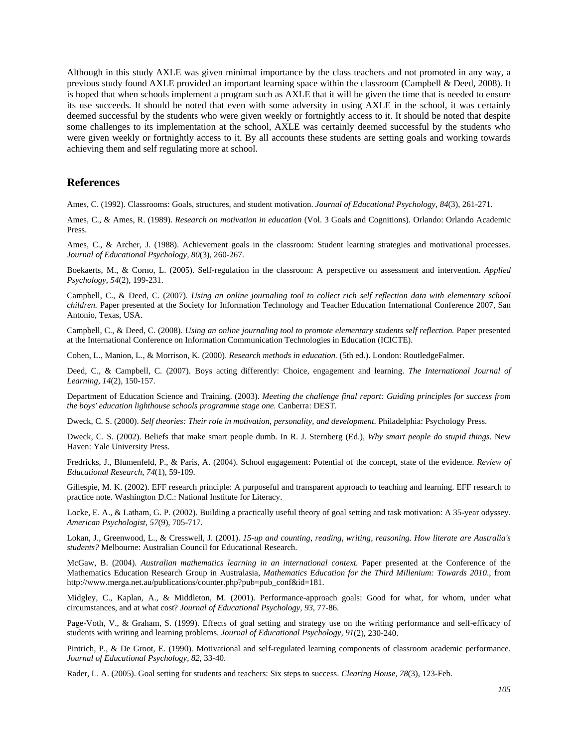Although in this study AXLE was given minimal importance by the class teachers and not promoted in any way, a previous study found AXLE provided an important learning space within the classroom (Campbell & Deed, 2008). It is hoped that when schools implement a program such as AXLE that it will be given the time that is needed to ensure its use succeeds. It should be noted that even with some adversity in using AXLE in the school, it was certainly deemed successful by the students who were given weekly or fortnightly access to it. It should be noted that despite some challenges to its implementation at the school, AXLE was certainly deemed successful by the students who were given weekly or fortnightly access to it. By all accounts these students are setting goals and working towards achieving them and self regulating more at school.

## **References**

Ames, C. (1992). Classrooms: Goals, structures, and student motivation. *Journal of Educational Psychology, 84*(3), 261-271.

Ames, C., & Ames, R. (1989). *Research on motivation in education* (Vol. 3 Goals and Cognitions). Orlando: Orlando Academic Press.

Ames, C., & Archer, J. (1988). Achievement goals in the classroom: Student learning strategies and motivational processes. *Journal of Educational Psychology, 80*(3), 260-267.

Boekaerts, M., & Corno, L. (2005). Self-regulation in the classroom: A perspective on assessment and intervention. *Applied Psychology, 54*(2), 199-231.

Campbell, C., & Deed, C. (2007). *Using an online journaling tool to collect rich self reflection data with elementary school children.* Paper presented at the Society for Information Technology and Teacher Education International Conference 2007, San Antonio, Texas, USA.

Campbell, C., & Deed, C. (2008). *Using an online journaling tool to promote elementary students self reflection.* Paper presented at the International Conference on Information Communication Technologies in Education (ICICTE).

Cohen, L., Manion, L., & Morrison, K. (2000). *Research methods in education.* (5th ed.). London: RoutledgeFalmer.

Deed, C., & Campbell, C. (2007). Boys acting differently: Choice, engagement and learning. *The International Journal of Learning, 14*(2), 150-157.

Department of Education Science and Training. (2003). *Meeting the challenge final report: Guiding principles for success from the boys' education lighthouse schools programme stage one*. Canberra: DEST.

Dweck, C. S. (2000). *Self theories: Their role in motivation, personality, and development*. Philadelphia: Psychology Press.

Dweck, C. S. (2002). Beliefs that make smart people dumb. In R. J. Sternberg (Ed.), *Why smart people do stupid things*. New Haven: Yale University Press.

Fredricks, J., Blumenfeld, P., & Paris, A. (2004). School engagement: Potential of the concept, state of the evidence. *Review of Educational Research, 74*(1), 59-109.

Gillespie, M. K. (2002). EFF research principle: A purposeful and transparent approach to teaching and learning. EFF research to practice note. Washington D.C.: National Institute for Literacy.

Locke, E. A., & Latham, G. P. (2002). Building a practically useful theory of goal setting and task motivation: A 35-year odyssey. *American Psychologist, 57*(9), 705-717.

Lokan, J., Greenwood, L., & Cresswell, J. (2001). *15-up and counting, reading, writing, reasoning. How literate are Australia's students?* Melbourne: Australian Council for Educational Research.

McGaw, B. (2004). *Australian mathematics learning in an international context.* Paper presented at the Conference of the Mathematics Education Research Group in Australasia, *Mathematics Education for the Third Millenium: Towards 2010*., from http://www.merga.net.au/publications/counter.php?pub=pub\_conf&id=181.

Midgley, C., Kaplan, A., & Middleton, M. (2001). Performance-approach goals: Good for what, for whom, under what circumstances, and at what cost? *Journal of Educational Psychology, 93*, 77-86.

Page-Voth, V., & Graham, S. (1999). Effects of goal setting and strategy use on the writing performance and self-efficacy of students with writing and learning problems. *Journal of Educational Psychology, 91*(2), 230-240.

Pintrich, P., & De Groot, E. (1990). Motivational and self-regulated learning components of classroom academic performance. *Journal of Educational Psychology, 82*, 33-40.

Rader, L. A. (2005). Goal setting for students and teachers: Six steps to success. *Clearing House, 78*(3), 123-Feb.